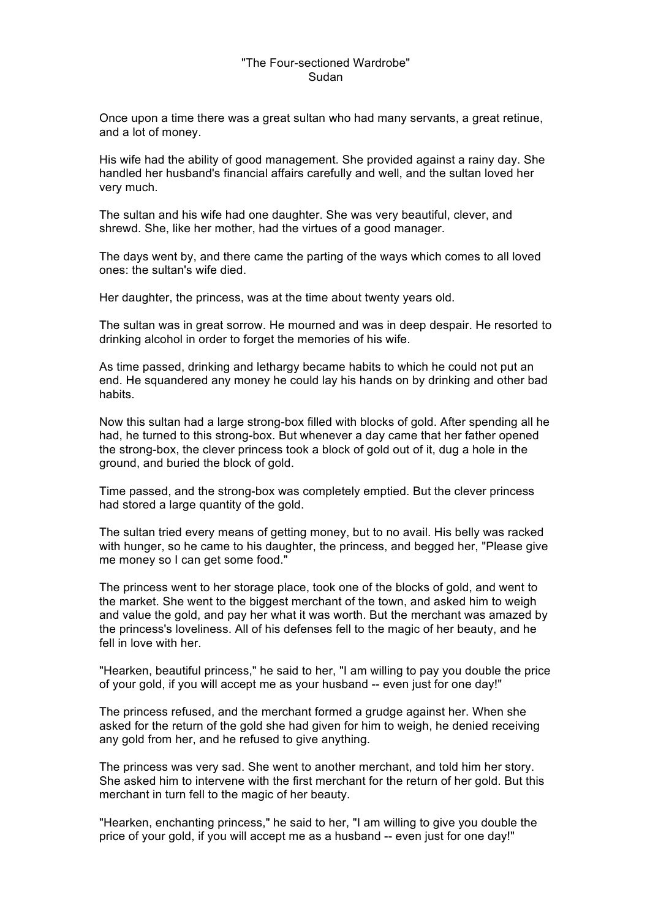## "The Four-sectioned Wardrobe" Sudan

Once upon a time there was a great sultan who had many servants, a great retinue, and a lot of money.

His wife had the ability of good management. She provided against a rainy day. She handled her husband's financial affairs carefully and well, and the sultan loved her very much.

The sultan and his wife had one daughter. She was very beautiful, clever, and shrewd. She, like her mother, had the virtues of a good manager.

The days went by, and there came the parting of the ways which comes to all loved ones: the sultan's wife died.

Her daughter, the princess, was at the time about twenty years old.

The sultan was in great sorrow. He mourned and was in deep despair. He resorted to drinking alcohol in order to forget the memories of his wife.

As time passed, drinking and lethargy became habits to which he could not put an end. He squandered any money he could lay his hands on by drinking and other bad habits.

Now this sultan had a large strong-box filled with blocks of gold. After spending all he had, he turned to this strong-box. But whenever a day came that her father opened the strong-box, the clever princess took a block of gold out of it, dug a hole in the ground, and buried the block of gold.

Time passed, and the strong-box was completely emptied. But the clever princess had stored a large quantity of the gold.

The sultan tried every means of getting money, but to no avail. His belly was racked with hunger, so he came to his daughter, the princess, and begged her, "Please give me money so I can get some food."

The princess went to her storage place, took one of the blocks of gold, and went to the market. She went to the biggest merchant of the town, and asked him to weigh and value the gold, and pay her what it was worth. But the merchant was amazed by the princess's loveliness. All of his defenses fell to the magic of her beauty, and he fell in love with her.

"Hearken, beautiful princess," he said to her, "I am willing to pay you double the price of your gold, if you will accept me as your husband -- even just for one day!"

The princess refused, and the merchant formed a grudge against her. When she asked for the return of the gold she had given for him to weigh, he denied receiving any gold from her, and he refused to give anything.

The princess was very sad. She went to another merchant, and told him her story. She asked him to intervene with the first merchant for the return of her gold. But this merchant in turn fell to the magic of her beauty.

"Hearken, enchanting princess," he said to her, "I am willing to give you double the price of your gold, if you will accept me as a husband -- even just for one day!"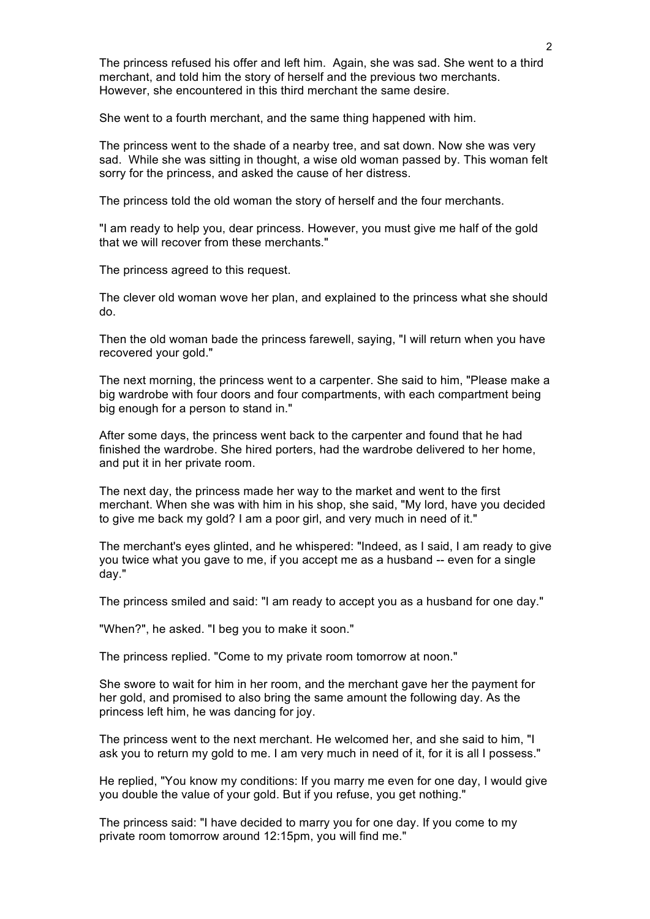The princess refused his offer and left him. Again, she was sad. She went to a third merchant, and told him the story of herself and the previous two merchants. However, she encountered in this third merchant the same desire.

She went to a fourth merchant, and the same thing happened with him.

The princess went to the shade of a nearby tree, and sat down. Now she was very sad. While she was sitting in thought, a wise old woman passed by. This woman felt sorry for the princess, and asked the cause of her distress.

The princess told the old woman the story of herself and the four merchants.

"I am ready to help you, dear princess. However, you must give me half of the gold that we will recover from these merchants."

The princess agreed to this request.

The clever old woman wove her plan, and explained to the princess what she should do.

Then the old woman bade the princess farewell, saying, "I will return when you have recovered your gold."

The next morning, the princess went to a carpenter. She said to him, "Please make a big wardrobe with four doors and four compartments, with each compartment being big enough for a person to stand in."

After some days, the princess went back to the carpenter and found that he had finished the wardrobe. She hired porters, had the wardrobe delivered to her home, and put it in her private room.

The next day, the princess made her way to the market and went to the first merchant. When she was with him in his shop, she said, "My lord, have you decided to give me back my gold? I am a poor girl, and very much in need of it."

The merchant's eyes glinted, and he whispered: "Indeed, as I said, I am ready to give you twice what you gave to me, if you accept me as a husband -- even for a single day."

The princess smiled and said: "I am ready to accept you as a husband for one day."

"When?", he asked. "I beg you to make it soon."

The princess replied. "Come to my private room tomorrow at noon."

She swore to wait for him in her room, and the merchant gave her the payment for her gold, and promised to also bring the same amount the following day. As the princess left him, he was dancing for joy.

The princess went to the next merchant. He welcomed her, and she said to him, "I ask you to return my gold to me. I am very much in need of it, for it is all I possess."

He replied, "You know my conditions: If you marry me even for one day, I would give you double the value of your gold. But if you refuse, you get nothing."

The princess said: "I have decided to marry you for one day. If you come to my private room tomorrow around 12:15pm, you will find me."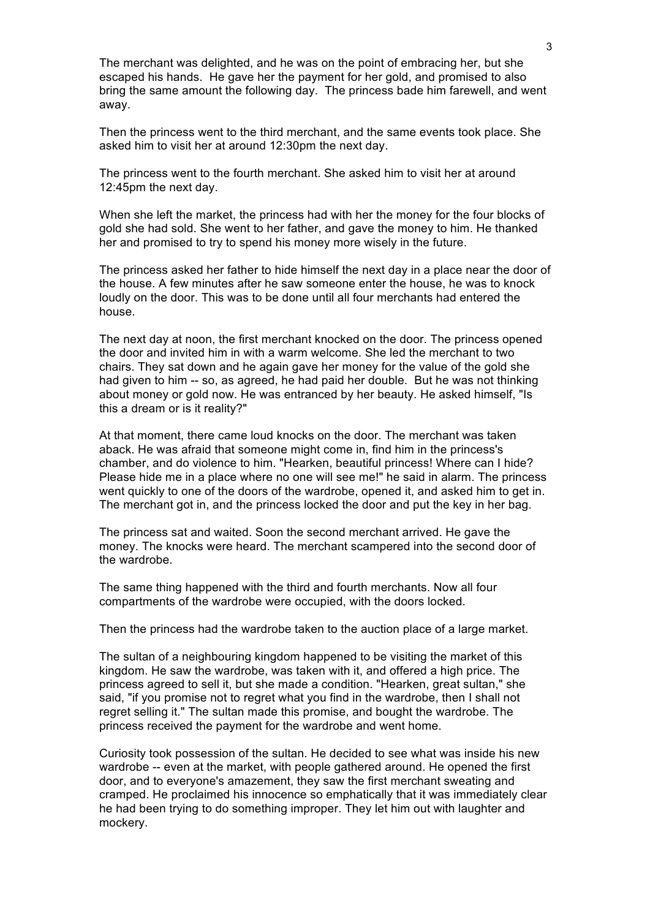The merchant was delighted, and he was on the point of embracing her, but she escaped his hands. He gave her the payment for her gold, and promised to also bring the same amount the following day. The princess bade him farewell, and went away.

Then the princess went to the third merchant, and the same events took place. She asked him to visit her at around 12:30pm the next day.

The princess went to the fourth merchant. She asked him to visit her at around 12:45pm the next day.

When she left the market, the princess had with her the money for the four blocks of gold she had sold. She went to her father, and gave the money to him. He thanked her and promised to try to spend his money more wisely in the future.

The princess asked her father to hide himself the next day in a place near the door of the house. A few minutes after he saw someone enter the house, he was to knock loudly on the door. This was to be done until all four merchants had entered the house.

The next day at noon, the first merchant knocked on the door. The princess opened the door and invited him in with a warm welcome. She led the merchant to two chairs. They sat down and he again gave her money for the value of the gold she had given to him -- so, as agreed, he had paid her double. But he was not thinking about money or gold now. He was entranced by her beauty. He asked himself, "Is this a dream or is it reality?"

At that moment, there came loud knocks on the door. The merchant was taken aback. He was afraid that someone might come in, find him in the princess's chamber, and do violence to him. "Hearken, beautiful princess! Where can I hide? Please hide me in a place where no one will see me!" he said in alarm. The princess went quickly to one of the doors of the wardrobe, opened it, and asked him to get in. The merchant got in, and the princess locked the door and put the key in her bag.

The princess sat and waited. Soon the second merchant arrived. He gave the money. The knocks were heard. The merchant scampered into the second door of the wardrobe.

The same thing happened with the third and fourth merchants. Now all four compartments of the wardrobe were occupied, with the doors locked.

Then the princess had the wardrobe taken to the auction place of a large market.

The sultan of a neighbouring kingdom happened to be visiting the market of this kingdom. He saw the wardrobe, was taken with it, and offered a high price. The princess agreed to sell it, but she made a condition. "Hearken, great sultan," she said, "if you promise not to regret what you find in the wardrobe, then I shall not regret selling it." The sultan made this promise, and bought the wardrobe. The princess received the payment for the wardrobe and went home.

Curiosity took possession of the sultan. He decided to see what was inside his new wardrobe -- even at the market, with people gathered around. He opened the first door, and to everyone's amazement, they saw the first merchant sweating and cramped. He proclaimed his innocence so emphatically that it was immediately clear he had been trying to do something improper. They let him out with laughter and mockery.